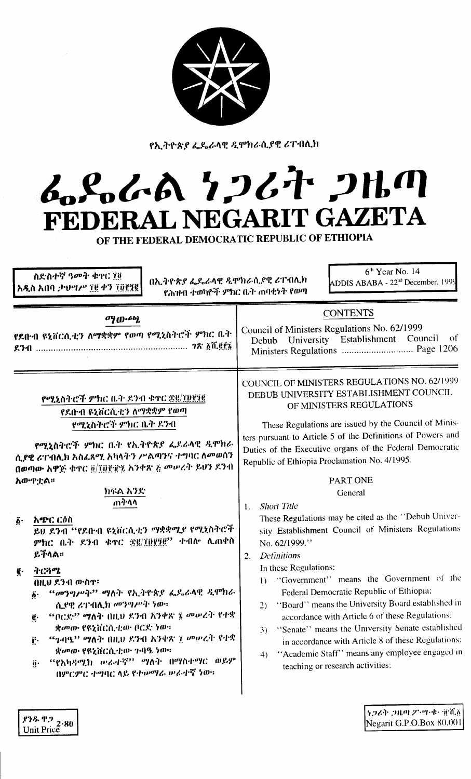

የኢትዮጵያ ፌዴራላዊ ዲሞክራሲያዊ ሪፐብሊክ

# ムパムハ 1267 2HM FEDERAL NEGARIT GAZETA

OF THE FEDERAL DEMOCRATIC REPUBLIC OF ETHIOPIA

| ስድስተኛ ዓመት ቁተር ፲፬                             | 6 <sup>th</sup> Year No. 14                                                                                                                                       |
|----------------------------------------------|-------------------------------------------------------------------------------------------------------------------------------------------------------------------|
| በኢትዮጵያ ፌዴራላዊ ዲሞክራሲያዊ ሪፐብሊክ                   | ADDIS ABABA - 22 <sup>nd</sup> December, 1999                                                                                                                     |
| አዲስ አበባ ታህሣሥ ፲፪ ቀን ፲፬፻፺፪                     | የሕዝብ ተወካዮች ምክር ቤት ጠባቂነት የወጣ                                                                                                                                       |
| ማውጫ<br>የደቡብ ዩኒቨርሲቲን ለማቋቋም የወጣ የሚኒስትሮች ምክር ቤት | <b>CONTENTS</b><br>Council of Ministers Regulations No. 62/1999<br>University Establishment Council<br><sub>of</sub><br>Debub<br>Ministers Regulations  Page 1206 |
| የሚኒስትሮች ምክር ቤት ዶንብ ቁተር ድ፪/፲፬፻፺፪              | COUNCIL OF MINISTERS REGULATIONS NO. 62/1999                                                                                                                      |
| የዶበ•ብ ዩኒቨርሲቲን ለማቋቋም የወጣ                      | DEBUB UNIVERSITY ESTABLISHMENT COUNCIL                                                                                                                            |
| የሚኒስትሮች ምክር ቤት ደንብ                           | OF MINISTERS REGULATIONS                                                                                                                                          |
| የሚኒስትሮች ምክር ቤት የኢትዮጵያ ፌደራላዊ ዲሞክራ             | These Regulations are issued by the Council of Minis-                                                                                                             |
| ሲያዊ ሪፐብሊክ አስፈጻሚ አካላትን ሥልጣንና ተግባር ለመወሰን       | ters pursuant to Article 5 of the Definitions of Powers and                                                                                                       |
| በወጣው አዋጅ ቁዋር ፬/፲፬፻፹፯ አንቀጽ ፭ መሠረት ይህን ደንብ     | Duties of the Executive organs of the Federal Democratic                                                                                                          |
| አውዋቷል።                                       | Republic of Ethiopia Proclamation No. 4/1995.                                                                                                                     |
| ክፍል አንድ                                      | PART ONE                                                                                                                                                          |
| ጠቅሳሳ                                         | General                                                                                                                                                           |
| አጭር ርዕስ                                      | <b>Short Title</b>                                                                                                                                                |
| $\vec{b}$ .                                  | $\mathbf{1}$ .                                                                                                                                                    |
| ይህ ደንብ ''የደቡብ ዩኒቨርሲቲን ማቋቋሚያ የሚኒስትሮች          | These Regulations may be cited as the "Debub Univer-                                                                                                              |
| ምክር ቤት ደንብ ቁተር ቋ፪/፲፱፻፺፪'' ተብሎ ሊጠቀስ           | sity Establishment Council of Ministers Regulations                                                                                                               |
| ይችላል።                                        | No. 62/1999."                                                                                                                                                     |
| ትርጓሜ                                         | <b>Definitions</b>                                                                                                                                                |
| ğ.                                           | 2.                                                                                                                                                                |
| በዚህ ደንብ ውስዋ፡                                 | In these Regulations:                                                                                                                                             |
| "መንግሥት" ማለት የኢትዮጵያ ፌዴራላዊ ዲሞክራ                | "Government" means the Government of the                                                                                                                          |
| $\boldsymbol{\delta}$ .                      | $\left  \right $                                                                                                                                                  |
| ሲያዊ ሪፐብሊክ መንግሥት ነው።                          | Federal Democratic Republic of Ethiopia;                                                                                                                          |
| "ቦርደ" ማለት በዚህ ደንብ አንቀጽ ፮ መሥረት የተቋ            | "Board" means the University Board established in                                                                                                                 |
| ę.                                           | (2)                                                                                                                                                               |
| ቋመው የዩኒቨርሲቲው ቦርድ ነው።                         | accordance with Article 6 of these Regulations:                                                                                                                   |
| "ንብዔ" ማለት በዚህ ደንብ እንቀጽ ፲ መሥረት የተቋ            | "Senate" means the University Senate established                                                                                                                  |
| $\mathbf{r}$                                 | (3)                                                                                                                                                               |
| ቋመው የዩኒቨርሲቲው 74% ነው።                         | in accordance with Article 8 of these Regulations;                                                                                                                |
| "የአካዳሚክ ውራተኛ" ማለት በማስተማር ወይም                 | "Academic Staff" means any employee engaged in                                                                                                                    |
| $\mathbf{0}$ .                               | 4)                                                                                                                                                                |
| በምርምር ተግባር ላይ የተሠማራ ሠራተኛ ነው።                 | teaching or research activities:                                                                                                                                  |

 $52.80$ <br>Unit Price

ነጋሪት ጋዜጣ 25ማ ቁና ፹ሺ፩ Negarit G.P.O.Box 80.001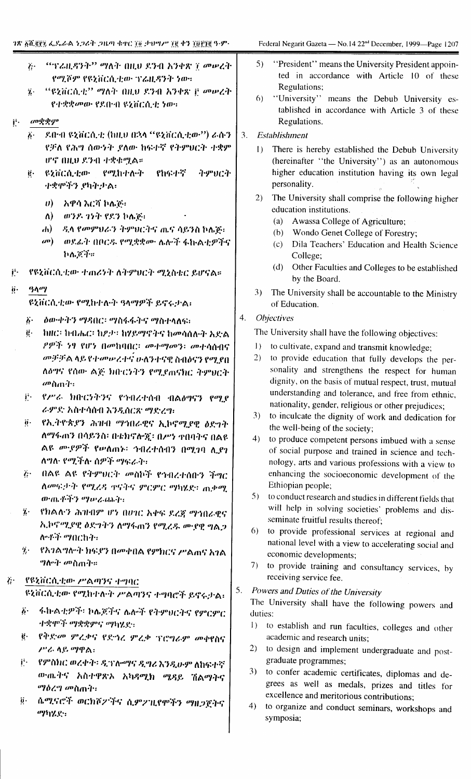- "ፕሬዚዳንት" ማለት በዚህ ደንብ አንቀጽ ፲ መሠረት  $\ddot{l}$ . የሚሾም የዩኒቨርሲቲው ፕሬዚዳንት ነው።
- "ዩኒቨርሲቲ" ማለት በዚህ ደንብ አንቀጽ ፫ መሥረት Ϋ. የተቋቋመው የደበብ ዩኒቨርሲቲ ነው።
- *ց*ոփփներ í٠.
	- ደብ•ብ ዩኒቨርሲቲ (ከዚህ በኋላ "ዩኒቨርሲቲው") ራሱን χ. የቻለ የሕግ ሰውነት ያለው ከፍተኛ የትምህርት ተቋም ሆኖ በዚህ ደንብ ተቋቁሚል።
	- ትምህርት **&ZitCA.4:0.** የሚከተሉት የከፍተኛ ë. ተቋሞችን የካትታል፡
		- $\boldsymbol{\theta}$ - አዋሳ እርሻ ኮሌጅ።
		- $\Lambda$ ) = @38, 454, 883 b $\Lambda$ ig-:
		- ዲላ የመምህራን ትምህርትና ጨና ሳይንስ ኮሌጅ፣  $\mathbf{d}$
		- $\omega$ <sup> $\omega$ </sup>) መደፊት በቦርዳ የሚቋቋው ሌሎች ፋክልቲዎችና ኮሌጆች።
- የዩኒቨርሲቲው ተጠሪነት ለትምህርት ሚኒስቴር ይሆናል። j.
- $\ddot{\theta}$  $90<sup>4</sup>$

ዩኒቨርሲቲው የሚከተሉት ዓላማዎች ይኖሩታል፡

- *b*ውቀትን ማዳበር፡ ማስፋፋትና ማስተላለፍ፡  $\ddot{b}$ .
- ከዘር፡ ከብሔር፡ ከዖታ፡፡ ከሃይማኖትና ከመሳሰሉት አድል  $\ddot{\mathbf{e}}$ . *የዎች ነ*ፃ የሆነ በመከባበር፡ መታማመን፡ መታሳስብና መቻቻል ላይ የተመሠረተና ሁለንተናዊ ስብዕናን የሚደበ ለዕግና የሰው ልጅ ክቡርነትን የሚደጠናክር ትምህርት *መ*ስጠት፡
- የሥራ ክበርነትንና የተበረተሰብ ብልዕግናን የሚደ į₹. ራምድ አስተሳሰብ እንዲሰርጽ ማድረግ፡
- የኢትዮጵያን ሕዝብ ማኅበራዊና ኢኮኖሚያዊ ዕድንት  $\ddot{\theta}$ . ለማፋጠን በሳይንስ፡ በቴክኖሎጂ፡ በሥነ ተበባትና በልዩ ልዩ ሙያዎች የሥለጠኑ፡ ኅብረተሰብን በሚገባ ሊያገ ለግሉ የሚችሉ ሰዎች ማፍራት፣
- በልዩ ልዩ የትምህርት መስኮች የኅብረተሰቡን ችግር  $\ddot{c}$ ለመፍታት የሚረዳ ቀናትና ምርምር ማካሄደ፡ ጠቃሚ のついぞう ツゅるのみた
- የክልሉን ሕዝብም ሆነ በሀገር አቀፍ ደረጃ ማኅበራዊና  $\dddot{\mathbf{z}}$ . አ.ኮኖሚያዊ ዕድንትን ለማፋጠን የሚረዱ ሙያዊ ግልጋ ለማች ማበርከት፡
- የአገልግሎት ክፍያን በመቀበል የምክርና ሥልጠና አገል  $\dddot{\mathbf{z}}$ . *ግ*ስ∘ት መስጠት።

### $\ddot{G}$ የዩኒቨርሲቲው ሥልጣንና ተግባር ዩኒቨርሲቲው የሚከተሉት ሥልጣንና ተግባሮች ይኖሩታል፡

- ፋኩልቲዎች፡ ኮሴጆችና ሴሎች የትምህርትና የምርምር  $\ddot{b}$ . ተቋሞች ማቋቋምና ማካሄደ:
- የቅድመ ምሬቃና የድኅረ ምሬቃ ፕሮግራም መቀየስና ę. ሥራ ላይ ማዋል።
- የምስክር ወረቀት፡ ዲፕሎማና ዲግሪ እንዲሁም ለከፍተኛ j٠. ውጤትና አስተዋጽኦ አካዳሚክ ሜዳይ ሽልማትና *ማዕረግ መ*ስጠት፡
- ሴሚናሮች ወርክሾፖችና ሲምፖዚየሞችን ማዘጋጀትና  $\ddot{\theta}$ . ማካሄድ፡
- "President" means the University President appoin- $5)$ ted in accordance with Article 10 of these Regulations;
- 6) "University" means the Debub University established in accordance with Article 3 of these Regulations.
- Establishment  $\mathcal{E}$ 
	- 1) There is hereby established the Debub University (hereinafter "the University") as an autonomous higher education institution having its own legal personality.
	- The University shall comprise the following higher  $2)$ education institutions.
		- Awassa College of Agriculture;  $(a)$
		- $(b)$ Wondo Genet College of Forestry;
		- (c) Dila Teachers' Education and Health Science College;
		- (d) Other Faculties and Colleges to be established by the Board.
	- The University shall be accountable to the Ministry  $3)$ of Education.
- 4. Objectives

The University shall have the following objectives:

- 1) to cultivate, expand and transmit knowledge;
- 2) to provide education that fully develops the personality and strengthens the respect for human dignity, on the basis of mutual respect, trust, mutual understanding and tolerance, and free from ethnic, nationality, gender, religious or other prejudices;
- 3) to inculcate the dignity of work and dedication for the well-being of the society;
- 4) to produce competent persons imbued with a sense of social purpose and trained in science and technology, arts and various professions with a view to enhancing the socioeconomic development of the Ethiopian people;
- 5) to conduct research and studies in different fields that will help in solving societies' problems and disseminate fruitful results thereof;
- $6)$ to provide professional services at regional and national level with a view to accelerating social and economic developments;
- 7) to provide training and consultancy services, by receiving service fee.
- 5. Powers and Duties of the University

The University shall have the following powers and duties:

- to establish and run faculties, colleges and other  $\Box$ academic and research units;
- 2) to design and implement undergraduate and postgraduate programmes;
- 3) to confer academic certificates, diplomas and degrees as well as medals, prizes and titles for excellence and meritorious contributions;
- 4) to organize and conduct seminars, workshops and symposia;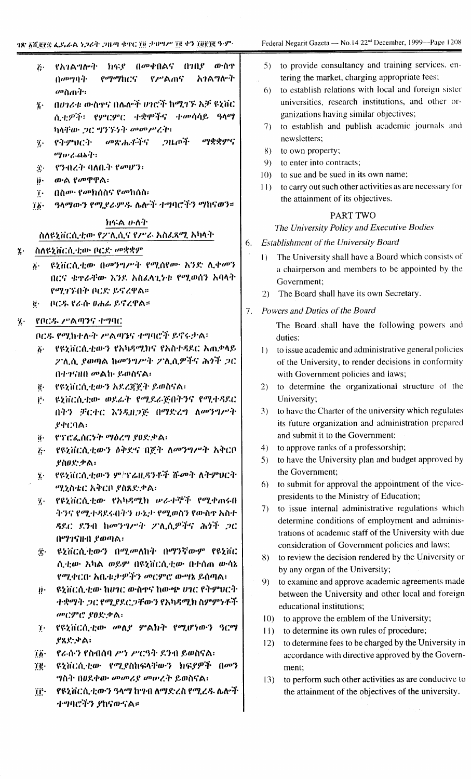- የአገልግሎት ክፍደ በመቀበልና በኀበደ ውስጥ  $\ddot{c}$ .  $\theta$  and  $\theta$  and  $\theta$ *Quyayht'S* የሥልጠና አንልግሎት *መ*ስጠት፡
- በሀገሪቱ ውስዋና በሌሎች ሀገሮች ከሚገኙ አቻ ዩኒቨር  $\dddot{\mathbf{z}}$ . ሲቲዎች፡ የምርምር ተቋሞችና ተመሳሳይ ዓላማ ካላቸው ጋር ግንኙነት መመሥረት።
- ማቋቋምና つはの筆 イヤッション መጽሔቶችና  $\dddot{\mathbf{z}}$ . **のかんは定**
- የንብረት ባለቤት የመሆን፡ ğ.
- ውል የመዋዋል፡ ij.
- በስሙ የመክሰስና የመክሰስ፡  $\dddot{\mathbf{i}}$ .
- ዓላማውን የሚያራምዱ ሴሎች ተግባሮችን ማከናወን።  $\dddot{\theta}$ .

## れなる かんれ

# ስለዩሂቨርሲቲው የፖሊሲና የሥራ አስፌጻሚ አካላት

- ስለዩኒቨርሲቲው ቦርድ መቋቋም ï.
	- ዩኒቨርሲቲው በመንግሥት የሚሰየሙ አንድ ሊቀመን  $\ddot{b}$ . በርና ቁዯራቸው እንደ አስፌሳጊንቱ የሚወሰን አባላት የሚገኙበት ቦርድ ይኖረዋል።
	- ቦርዱ የራሱ ወሐፊ ይኖረዋል። ë.
- የቦርዱ ሥልጣንና ተግባር  $\ddot{\mathbf{z}}$ .
	- ቦርዱ የሚከተሉት ሥልጣንና ተግባሮች ይኖሩታል፡
	- የዩኒቨርሲቲውን የአካዳሚክና የአስተዳደር አጠቃላይ  $\ddot{b}$ . ፖሊሲ ያወጣል ከመንግሥት ፖሊሲዎችና ሕጎች *ጋ*ር በተንናዘበ መልኩ ይወስናል፡
	- $\ddot{e}$ . የዩኒቨርሲቲውን አደረጀሮት ይወስናል፡
	- ዩኒቨርሲቲው ወደፊት የሚደራጅበትንና የሚተዳደር ji -በትን ቻርተር እንዲዘጋጅ በማድረግ ለመንግሥት  $P\Phi C9A$ :
	- የፕሮፌሰርነት ማዕረግ ያፀድቃል፡  $\ddot{\mathbf{0}}$ .
	- የዩኒቨርሲቲውን *ዕቅድና* በጀት ለመንግሥት አቅርቦ  $\ddot{c}$ . ያስወድቃል፡
	- የዩኒቨርሲቲውን ም/ፕሬዚዳንቶች ሹመት ለትምህርት  $\mathbf{z}$ . ሚኒስቴር አቅርቦ ያስጸድቃል፡-
	- ž· የዩኒቨርሲቲው የአካዳሚክ ሠራተኞች የሚቀጠሩበ ትንና የሚተዳደሩበትን ሁኔታ የሚወስን የውስዋ እስተ ዳደር ደንብ ከመንግሥት ፖሊሲዎችና ሕጎች ጋር በማንናዙበ ያወጣል፡
	- $\ddot{\mathbf{r}}$  . - ዩኒቨርሲቲውን በሚመለከት በማንኛውም የዩኒቨር ሲቲው አካል ወይም በዩኒቨርሲቲው በተሰጠ ውሳኔ የሚቀርበ እቤቱ:ታዎችን መርምሮ ውሣኔ ይሰጣል፡
	- ዩኒቨርሲቲው ከሆነር ውስዋና ከውጭ ሆነር የትምህርት ij. ተቋማት ጋር የሚያደርጋቸውን የአካዳሚክ ስምምነቶች መርምሮ ያፀድቃል፡
	- የዩኒቨርሲቲው መለደ ምልክት የሚሆነውን ዓርማ  $\mathbf{I}$ . ያጸድቃል፡
	- . የራሱን የስብሰባ ሥነ ሥርዓት ደንብ ይወስናል፡  $76 -$
	- ዩኒቨርሲቲው የሚያስከፍላቸውን ክፍያዎች በመን  $\mathbf{1} \mathbf{e}$ . ግስት በዐደቀው መመሪያ መሠረት ይወስናል፡
	- የዩኒቨርሲቲውን ዓላማ ከግብ ለማድረስ የሚረዱ ሴሎች Tije. ተማባሮችን ያከናውናል።
- 5) to provide consultancy and training services, entering the market, charging appropriate fees;
- 6) to establish relations with local and foreign sister universities, research institutions, and other organizations having similar objectives;
- to establish and publish academic journals and  $7)$ newsletters:
- $8)$ to own property;
- 9) to enter into contracts;
- 10) to sue and be sued in its own name;
- to carry out such other activities as are necessary for  $11$ the attainment of its objectives.

## **PART TWO**

## The University Policy and Executive Bodies

#### **Establishment of the University Board** 6.

- The University shall have a Board which consists of  $\mathbf{D}$ a chairperson and members to be appointed by the Government:
- 2) The Board shall have its own Secretary.
- 7. Powers and Duties of the Board

The Board shall have the following powers and duties:

- 1) to issue academic and administrative general policies of the University, to render decisions in conformity with Government policies and laws;
- 2) to determine the organizational structure of the University;
- to have the Charter of the university which regulates  $3)$ its future organization and administration prepared and submit it to the Government;
- $4)$ to approve ranks of a professorship;
- to have the University plan and budget approved by  $5)$ the Government;
- to submit for approval the appointment of the vice- $6)$ presidents to the Ministry of Education;
- to issue internal administrative regulations which  $(7)$ determine conditions of employment and administrations of academic staff of the University with due consideration of Government policies and laws;
- 8) to review the decision rendered by the University or by any organ of the University;
- 9) to examine and approve academic agreements made between the University and other local and foreign educational institutions;
- 10) to approve the emblem of the University;
- 11) to determine its own rules of procedure;
- 12) to determine fees to be charged by the University in accordance with directive approved by the Government;
- to perform such other activities as are conducive to  $13)$ the attainment of the objectives of the university.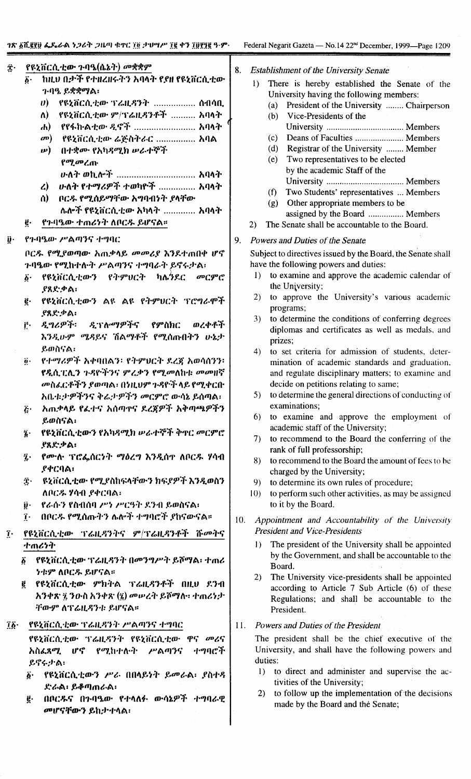Federal Negarit Gazeta — No.14 22<sup>nd</sup> December, 1999—Page 1209

|    | ፰·    የዩኒቨርሲቲው ጉባዔ(ሴኔት) መቋቋም                                                        | 8. |
|----|-------------------------------------------------------------------------------------|----|
|    | ከዚህ በታች የተዘረዘሩትን አባላት የያዘ የዩኒቨርሲቲው<br>$\vec{b}$ .                                   |    |
|    | ን ባዓ. ይቋቋማል፡                                                                        |    |
|    | U) የዩኒቨርሲቲው ፕሬዚዳንት  ስብሳቢ                                                            |    |
|    | ለ) የዩኒቨርሲቲው ም/ፕሬዚዳንቶች  አባላት                                                         |    |
|    | ሐ)  የየፋኩልቲው ዲኖች …………………… አባላት<br>መ) የዩኒቨርሲቲው ሬጅስትራር  አባል                            |    |
|    | <i>w</i> ) በተቋሙ የአካዳሚክ ሥራተኞች                                                        |    |
|    | <i>የሚመረ</i> ጡ                                                                       |    |
|    | ሁለት ወኪሎች<br>አባላት                                                                    |    |
|    | <u>ረ) ወልት የተማሪዎች ተወካዮች  አባላት</u>                                                    |    |
|    | ሰ) - ቦር <i>ዱ የሚ</i> ሰይማቸው አግባብነት <i>ያ</i> ላቸው                                       |    |
|    | ሌሎች የዩኒቨርሲቲው አካላት  አባላት .                                                           |    |
|    | ፪· የንባዔው ተጠሪነት ለቦርዱ ይሆናል።                                                           |    |
| ŷ. | የጉባዔው ሥልጣንና ተግባር                                                                    | 9. |
|    | ቦርዱ የሚያወጣው አጠቃላይ መመሪያ እንደተጠበቀ ሆኖ                                                    |    |
|    | ጉባዔው የሚከተሉት ሥልጣንና ተግባራት ይኖሩታል፡                                                      |    |
|    | ፩· የዩኒቨርሲቲውን የትምሀርት ካሴንዶር መርምሮ                                                      |    |
|    | .የጸደነቃል፡                                                                            |    |
|    | <u>፪·  የዩኒቨርሲቲውን ልዩ ልዩ የትምሀርት ፕሮግራሞች</u>                                            |    |
|    | .የጸደ:ቃል፡                                                                            |    |
|    | ፫· <i>ዲግሪዎች፡ ዲ</i> ፕለ <del>፡</del> ማዎችና የምስክር ወረቀቶች<br>እንዲሁም ሜዳይና ሽልማቶች የሚሰጡበትን ሁኔታ |    |
|    | ይወስናል፡                                                                              |    |
|    | @· _ የተማሪዎች አቀባበልን፡ የተምሀርት ደረጃ አወሳሰንን፡-                                             |    |
|    | የዲሲፒሊን ጉዳዮችንና ምረቃን የሚመለከቱ መመዘኛ                                                      |    |
|    | <i>መ</i> ስፈርቶችን ያወጣል፡ በነዚህም ጉዳዮች ላይ የሚቀርቡ                                           |    |
|    | አቤቱ:ታዎችንና ቅሬ:ታዎችን መርምሮ ውሳኔ ይሰጣል፡                                                    |    |
|    | አጠቃላይ የፈተና አሰጣተና ደረጀዎች አቅጣጫዎችን<br>Ĩ٠.                                               |    |
|    | ይወስናል፡                                                                              |    |
|    | ፯·     የዩኒቨርሲቲውን የአካዳሚክ ሥራተኞች ቅጥር መርምሮ                                              |    |
|    | የጸድቃል፡                                                                              |    |
|    | ፯·   የሙሉ ፕሮፌሰርነት ማዕረግ እንዲሰተ ለቦርዱ ሃሳብ                                                |    |
|    | .የቀርባል፡<br>£ የኢቨርሲቲው የሚያስከፍላቸውን ክፍያዎች እንዲወስን                                        |    |
|    | ለቦርዱ ሃሳብ ያቀርባል፡                                                                     |    |
|    | ፱· የራሱን የስብሰባ ሥነ ሥርዓት ደንብ ይወስናል፡                                                    |    |
|    | በቦርዱ የሚሰጡትን ሌሎች ተግባሮች ያከናውናል።<br>$\mathbf{r}$                                       | 10 |
|    |                                                                                     |    |
|    | ፲ የዩኒቨርሲቲው ፕሬዚዳንትና ም/ፕሬዚዳንቶች ሹ <i>መ</i> ትና<br>ተጠሪንት                                 |    |
|    | ፩ የዩኒቨርሲቲው ፕሬዚዳንት በመንግሥት ይሾማል፣ ተጠሪ                                                  |    |
|    | <i>ነተም</i> ለቦር <i>ዱ</i> ይሆናል።                                                       |    |
|    | ፪ የዩኒቨርሲቲው ምክትል ፕሬዚዳንቶች በዚህ ደንብ                                                     |    |
|    | አንቀጽ ፺ ንዑስ አንቀጽ (፯) መሠረት ይሾማሉ፡፡ ተጠሪነታ                                               |    |
|    | ቸውም ለፕሬዚዳንቱ ይሆናል።                                                                   |    |
|    | ፲፩• - የዩኒቨርሲቲው ፕሬዚዳንት ሥልጣንና ተግባር                                                    | 11 |
|    | የዩኒቨርሲቲው ፕሬዚዳንት የዩኒቨርሲቲው ዋና መሪና                                                     |    |
|    | አስፌጻሚ ሆኖ የሚከተሉት ሥልጣንና ተግባሮች                                                         |    |
|    | ይኖሩታል፡-                                                                             |    |
|    | ፩· የዩኒቨርሲቲውን ሥራ በበላይነት ይመራል፡ ያስተዳ                                                   |    |
|    | ድራል፡ ይቆጣጠራል፡                                                                        |    |
|    | በቦርዱና በጉባዔው የተላለፉ ውሳኔዎች ተግባራዊ<br>$\mathbf{g}$ .                                     |    |
|    | መሆናቸውን ይከታተሳል፡                                                                      |    |

| <b>Establishment of the University Senate</b>             |
|-----------------------------------------------------------|
| There is hereby established the Senate of the<br>$\bf{l}$ |
| University having the following members:                  |
| President of the University  Chairperson<br>(a)           |
| Vice-Presidents of the<br>(b)                             |
|                                                           |
| Deans of Faculties  Members<br>(c)                        |
| (d) Registrar of the University  Member                   |
| Two representatives to be elected<br>(e)                  |
| by the academic Staff of the                              |
|                                                           |
| Two Students' representatives  Members<br>(f)             |
| Other appropriate members to be<br>(g)                    |
| assigned by the Board  Members                            |
| The Senate shall be accountable to the Board.<br>2)       |
| Powers and Duties of the Senate                           |

Subject to directives issued by the Board, the Senate shall have the following powers and duties:

- 1) to examine and approve the academic calendar of the University;
- $(2)$ to approve the University's various academic programs;
- 3) to determine the conditions of conferring degrees diplomas and certificates as well as medals, and prizes:
- 4) to set criteria for admission of students, determination of academic standards and graduation, and regulate disciplinary matters; to examine and decide on petitions relating to same;
- 5) to determine the general directions of conducting of examinations:
- 6) to examine and approve the employment of academic staff of the University;
- 7) to recommend to the Board the conferring of the rank of full professorship;
- 8) to recommend to the Board the amount of fees to be charged by the University;
- 9) to determine its own rules of procedure;
- $10)$ to perform such other activities, as may be assigned to it by the Board.
- Appointment and Accountability of the University **President and Vice-Presidents** 
	- The president of the University shall be appointed  $\mathbf{D}$ by the Government, and shall be accountable to the Board.
	- The University vice-presidents shall be appointed  $(2)$ according to Article 7 Sub Article (6) of these Regulations; and shall be accountable to the President.
- Powers and Duties of the President

The president shall be the chief executive of the University, and shall have the following powers and duties:

- $|1\rangle$ to direct and administer and supervise the activities of the University;
- to follow up the implementation of the decisions  $(2)$ made by the Board and the Senate;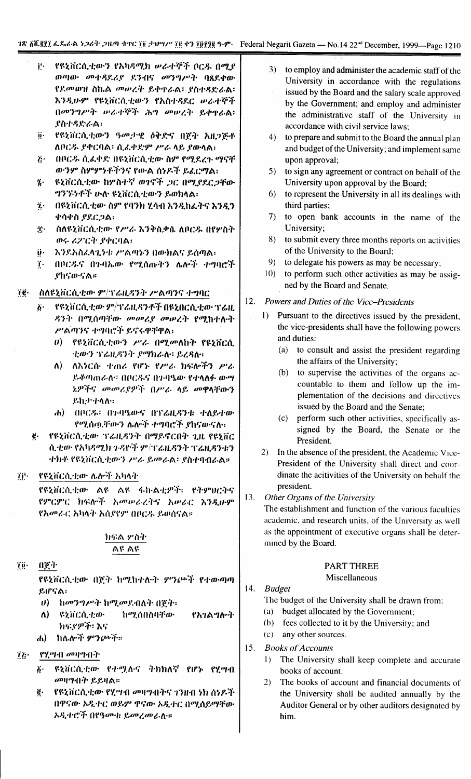## የዩኒቨርሲቲውን የአካዳሚክ ሥራተኞች ቦርዱ በሚደ j٠. ወጣው መተዳደሪያ ደንብና መንግሥት ባጸደቀው የደመወዝ ስኬል መሥረት ይቀዋራል፡ የስተዳድራል፡ እንዲሁም የዩኒቨርሲቲውን የአስተዳደር ሥራተኞች በመንግሥት ሠራተኞች ሕግ መሠረት ይቀዋራል፡ **ያስተዳድራል፡**

- የዩኒቨርሲቲውን ዓመታዊ ዕቅድና በጀት አዘጋጅቶ  $\ddot{\boldsymbol{\theta}}$ . ለቦርዱ ያቀርባል፡ ሲፈቀድም ሥራ ላይ ያውላል፣
- በቦርዱ ሲፌቀድ በዩኒቨርሲቲው ስም የሚደረጉ ማናቸ  $\ddot{c}$ . ውንም ስምምኑቶችንና የውል ሰነዶች ይፈርማል፤
- $\ddot{\mathbf{z}}$ . ዩኒቨርሲቲው ከሦስተኛ ወንኖች ጋር በሚያደርጋቸው ግንኙነቶች ሁለ ዩኒቨርሲቲውን ይወክላል፡
- $\dddot{\mathbf{z}}$ . በዩኒቨርሲቲው ስም የባንክ ሂሳብ እንዲከፈትና እንዲን ቀሳቀስ ያደርጋል፡
- $\ddot{\mathbf{r}}$  . ስለዩኒቨርሲቲው የሥራ እንቅስቃሴ ለቦርዱ በየሦስት ወሩ ሪፖርት ያቀርባል፡
- እንደአስፌላጊንቱ ሥልጣኑን በውክልና ይሰጣል፣  $\mathbf{j}$ .
- በቦርዱና በንባኤው የሚሰጡትን ሌሎች ተግባሮች  $\dddot{\mathbf{r}}$ . ያከናውናል።

#### ïë. ስለዩኒቨርሲቲው ም/ፕሬዚዳንት ሥልጣንና ተግባር

- የዩኒቨርሲቲው ም/ፕሬዚዳንቶች በዩኒበርሲቲው ፕሬዚ  $\ddot{b}$ . ዳንት በሚሰጣቸው መመሪያ መሠረት የሚከተሉት ሥልጣንና ተግባሮች ይኖሩዋቸዋል፡
	- $\boldsymbol{\theta}$ ) የዩኒቨርሲቲውን ሥራ በሚመለከት የዩኒቨርሲ ቲውን ፕሬዚዳንት የማክራሉ፡ ይረዳሉ፡
	- ለእነርሱ ተጠራ የሆኑ የሥራ ክፍሎችን ሥራ ለ) ይቆጣጠራለ። በቦርዱና በንባዔው የተላለፉ ውሣ ኔዎችና መመሪያዎች በሥራ ላይ መዋላቸውን  $g_1, g_2, g_3, g_4$
	- ሐ) በቦርዱ፡ በጉባዔውና በፕሬዚዳንቱ ተለይተው የሚሰጧቸውን ሴሎች ተግባሮች የከናውናሉ።
- የዩኒቨርሲቲው ፕሬዚዳንት በማይኖርበት ጊዜ የዩኒቨር  $\ddot{e}$ . ሲቲው የአካዳሚክ ጉዳዮች ም/ፕሬዚዳንት ፕሬዚዳንቱን ተክቶ የዩኒቨርሲቲውን ሥራ ይመራል፡ ያስተባብራል።

#### የዩኒቨርሲቲው ሌሎች አካላት ïë.

የዩኒቨርሲቲው ልዩ ልዩ ፋኩልቲዎች፣ የትምሀርትና የምርምር ክፍሎች አመሠራረትና አሠራር እንዲሁም የአመራር አካላት አሲያየም በቦርዱ ይወስናል።

## ክፍል ሦስት ልዩ ልዩ

 $10 0e<sub>T</sub>$ 

> የዩኒቨርሲቲው በጀት ከሚከተሉት ምንጮች የተውጣጣ ይሆናል፡

- $\theta$ ) ከመንግሥት ከሚመደብለት በጀት፣
- $\Lambda$ ዳንቨርሲቲው ከሚሰበስባቸው የአገልግሎት ክፍያዎች፡ እና
- ሐ) ከሌሎች ምንጮች።

#### $T_{G}$ PLINA CONTRACT

- ዩኒቨርሲቲው የተሟሉና ትክክለኛ የሆኑ የሂሣብ  $\ddot{\boldsymbol{\delta}}$ . መዛማብት ይይዛል።
- የዩኒቨርሲቲው የሂሣብ መዛማብትና ገንዘብ ነክ ሰነዶች ë. በዋናው አዲተር ወይም ዋናው አዲተር በሚሰይማቸው አዲተሮች በየዓመቱ ይመረመራሉ።
- $3)$ to employ and administer the academic staff of the University in accordance with the regulations issued by the Board and the salary scale approved by the Government; and employ and administer the administrative staff of the University in accordance with civil service laws:
- 4) to prepare and submit to the Board the annual plan and budget of the University; and implement same upon approval;
- 5) to sign any agreement or contract on behalf of the University upon approval by the Board;
- 6) to represent the University in all its dealings with third parties;
- to open bank accounts in the name of the  $7)$ University;
- 8) to submit every three months reports on activities of the University to the Board;
- 9) to delegate his powers as may be necessary;
- 10) to perform such other activities as may be assigned by the Board and Senate.

#### $12.$ Powers and Duties of the Vice-Presidents

- 1) Pursuant to the directives issued by the president, the vice-presidents shall have the following powers and duties:
	- (a) to consult and assist the president regarding the affairs of the University;
	- (b) to supervise the activities of the organs accountable to them and follow up the implementation of the decisions and directives issued by the Board and the Senate;
	- (c) perform such other activities, specifically assigned by the Board, the Senate or the President.
- 2) In the absence of the president, the Academic Vice-President of the University shall direct and coordinate the acitivities of the University on behalf the president.
- $13.$ Other Organs of the University

The establishment and function of the various faculties academic, and research units, of the University as well as the appointment of executive organs shall be determined by the Board.

## PART THREE

## **Miscellaneous**

#### $14<sup>1</sup>$ **Budget**

The budget of the University shall be drawn from: budget allocated by the Government;  $(a)$ 

- (b) fees collected to it by the University; and
- any other sources.  $(c)$
- 15. **Books of Accounts** 
	- 1) The University shall keep complete and accurate books of account.
	- 2) The books of account and financial documents of the University shall be audited annually by the Auditor General or by other auditors designated by him.